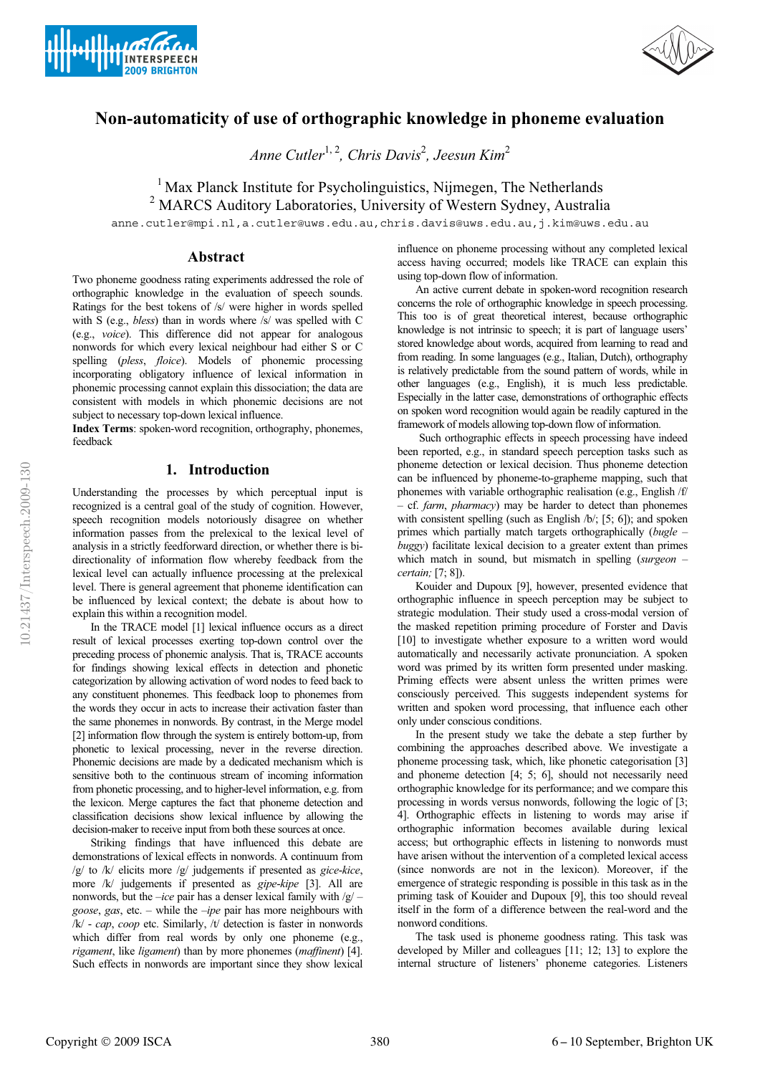



# **Non-automaticity of use of orthographic knowledge in phoneme evaluation**

*Anne Cutler*1, 2*, Chris Davis*<sup>2</sup> *, Jeesun Kim*<sup>2</sup>

<sup>1</sup> Max Planck Institute for Psycholinguistics, Nijmegen, The Netherlands <sup>2</sup> MARCS Auditory Laboratories, University of Western Sydney, Australia

anne.cutler@mpi.nl,a.cutler@uws.edu.au,chris.davis@uws.edu.au,j.kim@uws.edu.au

## **Abstract**

Two phoneme goodness rating experiments addressed the role of orthographic knowledge in the evaluation of speech sounds. Ratings for the best tokens of /s/ were higher in words spelled with S (e.g., *bless*) than in words where /s/ was spelled with C (e.g., *voice*). This difference did not appear for analogous nonwords for which every lexical neighbour had either S or C spelling (*pless*, *floice*). Models of phonemic processing incorporating obligatory influence of lexical information in phonemic processing cannot explain this dissociation; the data are consistent with models in which phonemic decisions are not subject to necessary top-down lexical influence.

**Index Terms**: spoken-word recognition, orthography, phonemes, feedback

# **1. Introduction**

Understanding the processes by which perceptual input is recognized is a central goal of the study of cognition. However, speech recognition models notoriously disagree on whether information passes from the prelexical to the lexical level of analysis in a strictly feedforward direction, or whether there is bidirectionality of information flow whereby feedback from the lexical level can actually influence processing at the prelexical level. There is general agreement that phoneme identification can be influenced by lexical context; the debate is about how to explain this within a recognition model.

In the TRACE model [1] lexical influence occurs as a direct result of lexical processes exerting top-down control over the preceding process of phonemic analysis. That is, TRACE accounts for findings showing lexical effects in detection and phonetic categorization by allowing activation of word nodes to feed back to any constituent phonemes. This feedback loop to phonemes from the words they occur in acts to increase their activation faster than the same phonemes in nonwords. By contrast, in the Merge model [2] information flow through the system is entirely bottom-up, from phonetic to lexical processing, never in the reverse direction. Phonemic decisions are made by a dedicated mechanism which is sensitive both to the continuous stream of incoming information from phonetic processing, and to higher-level information, e.g. from the lexicon. Merge captures the fact that phoneme detection and classification decisions show lexical influence by allowing the decision-maker to receive input from both these sources at once.

Striking findings that have influenced this debate are demonstrations of lexical effects in nonwords. A continuum from /g/ to /k/ elicits more /g/ judgements if presented as *gice*-*kice*, more /k/ judgements if presented as *gipe*-*kipe* [3]. All are nonwords, but the –*ice* pair has a denser lexical family with /g/ – *goose*, *gas*, etc. – while the –*ipe* pair has more neighbours with /k/ - *cap*, *coop* etc. Similarly, /t/ detection is faster in nonwords which differ from real words by only one phoneme (e.g., *rigament*, like *ligament*) than by more phonemes (*maffinent*) [4]. Such effects in nonwords are important since they show lexical influence on phoneme processing without any completed lexical access having occurred; models like TRACE can explain this using top-down flow of information.

An active current debate in spoken-word recognition research concerns the role of orthographic knowledge in speech processing. This too is of great theoretical interest, because orthographic knowledge is not intrinsic to speech; it is part of language users' stored knowledge about words, acquired from learning to read and from reading. In some languages (e.g., Italian, Dutch), orthography is relatively predictable from the sound pattern of words, while in other languages (e.g., English), it is much less predictable. Especially in the latter case, demonstrations of orthographic effects on spoken word recognition would again be readily captured in the framework of models allowing top-down flow of information.

Such orthographic effects in speech processing have indeed been reported, e.g., in standard speech perception tasks such as phoneme detection or lexical decision. Thus phoneme detection can be influenced by phoneme-to-grapheme mapping, such that phonemes with variable orthographic realisation (e.g., English /f/ – cf. *farm*, *pharmacy*) may be harder to detect than phonemes with consistent spelling (such as English /b/; [5; 6]); and spoken primes which partially match targets orthographically (*bugle* – *buggy*) facilitate lexical decision to a greater extent than primes which match in sound, but mismatch in spelling (*surgeon* – *certain;* [7; 8]).

Kouider and Dupoux [9], however, presented evidence that orthographic influence in speech perception may be subject to strategic modulation. Their study used a cross-modal version of the masked repetition priming procedure of Forster and Davis [10] to investigate whether exposure to a written word would automatically and necessarily activate pronunciation. A spoken word was primed by its written form presented under masking. Priming effects were absent unless the written primes were consciously perceived. This suggests independent systems for written and spoken word processing, that influence each other only under conscious conditions.

In the present study we take the debate a step further by combining the approaches described above. We investigate a phoneme processing task, which, like phonetic categorisation [3] and phoneme detection [4; 5; 6], should not necessarily need orthographic knowledge for its performance; and we compare this processing in words versus nonwords, following the logic of [3; 4]. Orthographic effects in listening to words may arise if orthographic information becomes available during lexical access; but orthographic effects in listening to nonwords must have arisen without the intervention of a completed lexical access (since nonwords are not in the lexicon). Moreover, if the emergence of strategic responding is possible in this task as in the priming task of Kouider and Dupoux [9], this too should reveal itself in the form of a difference between the real-word and the nonword conditions.

The task used is phoneme goodness rating. This task was developed by Miller and colleagues [11; 12; 13] to explore the internal structure of listeners' phoneme categories. Listeners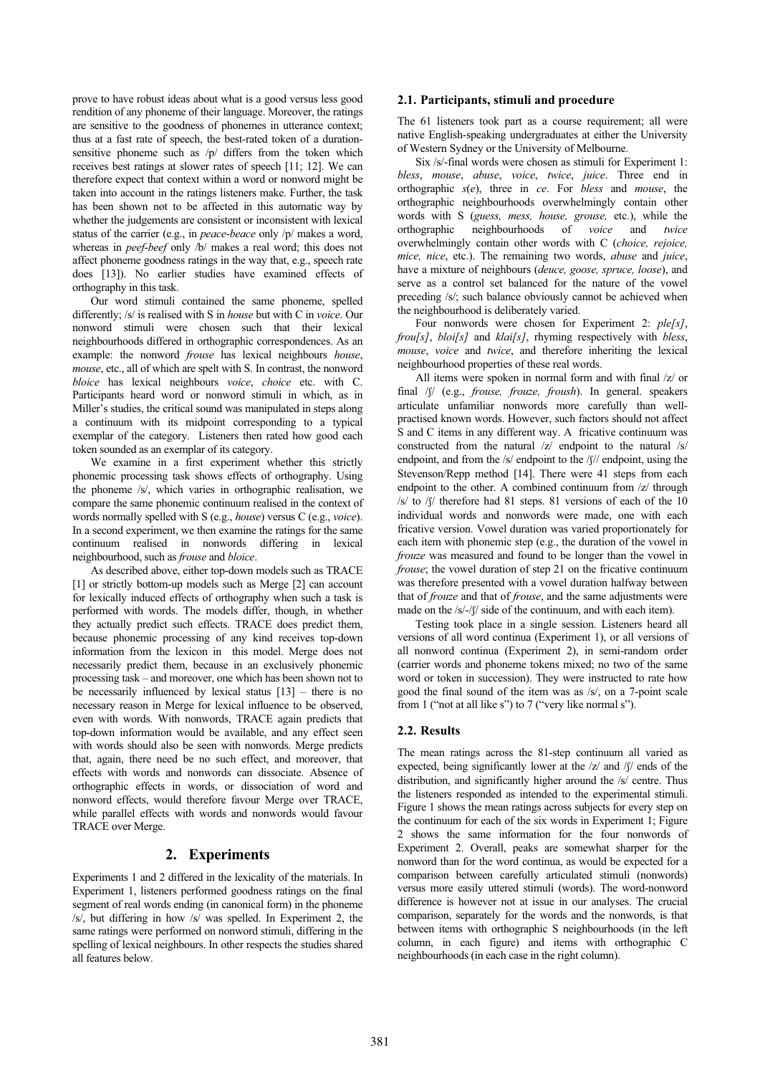prove to have robust ideas about what is a good versus less good rendition of any phoneme of their language. Moreover, the ratings are sensitive to the goodness of phonemes in utterance context; thus at a fast rate of speech, the best-rated token of a durationsensitive phoneme such as /p/ differs from the token which receives best ratings at slower rates of speech [11; 12]. We can therefore expect that context within a word or nonword might be taken into account in the ratings listeners make. Further, the task has been shown not to be affected in this automatic way by whether the judgements are consistent or inconsistent with lexical status of the carrier (e.g., in *peace*-*beace* only /p/ makes a word, whereas in *peef*-*beef* only /b/ makes a real word; this does not affect phoneme goodness ratings in the way that, e.g., speech rate does [13]). No earlier studies have examined effects of orthography in this task.

Our word stimuli contained the same phoneme, spelled differently; /s/ is realised with S in *house* but with C in *voice*. Our nonword stimuli were chosen such that their lexical neighbourhoods differed in orthographic correspondences. As an example: the nonword *frouse* has lexical neighbours *house*, *mouse*, etc., all of which are spelt with S. In contrast, the nonword *bloice* has lexical neighbours *voice*, *choice* etc. with C. Participants heard word or nonword stimuli in which, as in Miller's studies, the critical sound was manipulated in steps along a continuum with its midpoint corresponding to a typical exemplar of the category. Listeners then rated how good each token sounded as an exemplar of its category.

We examine in a first experiment whether this strictly phonemic processing task shows effects of orthography. Using the phoneme /s/, which varies in orthographic realisation, we compare the same phonemic continuum realised in the context of words normally spelled with S (e.g., *house*) versus C (e.g., *voice*). In a second experiment, we then examine the ratings for the same continuum realised in nonwords differing in lexical neighbourhood, such as *frouse* and *bloice*.

As described above, either top-down models such as TRACE [1] or strictly bottom-up models such as Merge [2] can account for lexically induced effects of orthography when such a task is performed with words. The models differ, though, in whether they actually predict such effects. TRACE does predict them, because phonemic processing of any kind receives top-down information from the lexicon in this model. Merge does not necessarily predict them, because in an exclusively phonemic processing task – and moreover, one which has been shown not to be necessarily influenced by lexical status  $[13]$  – there is no necessary reason in Merge for lexical influence to be observed, even with words. With nonwords, TRACE again predicts that top-down information would be available, and any effect seen with words should also be seen with nonwords. Merge predicts that, again, there need be no such effect, and moreover, that effects with words and nonwords can dissociate. Absence of orthographic effects in words, or dissociation of word and nonword effects, would therefore favour Merge over TRACE, while parallel effects with words and nonwords would favour TRACE over Merge.

#### **2. Experiments**

Experiments 1 and 2 differed in the lexicality of the materials. In Experiment 1, listeners performed goodness ratings on the final segment of real words ending (in canonical form) in the phoneme /s/, but differing in how /s/ was spelled. In Experiment 2, the same ratings were performed on nonword stimuli, differing in the spelling of lexical neighbours. In other respects the studies shared all features below.

#### **2.1. Participants, stimuli and procedure**

The 61 listeners took part as a course requirement; all were native English-speaking undergraduates at either the University of Western Sydney or the University of Melbourne.

Six /s/-final words were chosen as stimuli for Experiment 1: *bless*, *mouse*, *abuse*, *voice*, *twice*, *juice*. Three end in orthographic *s*(*e*), three in *ce*. For *bless* and *mouse*, the orthographic neighbourhoods overwhelmingly contain other words with S (*guess, mess, house, grouse*, etc.), while the orthographic neighbourhoods of *voice* and *twice* neighbourhoods of *voice* and *twice* overwhelmingly contain other words with C (*choice, rejoice, mice, nice*, etc.). The remaining two words, *abuse* and *juice*, have a mixture of neighbours (*deuce, goose, spruce, loose*), and serve as a control set balanced for the nature of the vowel preceding /s/; such balance obviously cannot be achieved when the neighbourhood is deliberately varied.

Four nonwords were chosen for Experiment 2: *ple[s]*, *frou[s]*, *bloi[s]* and *klai[s]*, rhyming respectively with *bless*, *mouse*, *voice* and *twice*, and therefore inheriting the lexical neighbourhood properties of these real words.

All items were spoken in normal form and with final /z/ or final /f/ (e.g., *frouse, frouze, froush*). In general. speakers articulate unfamiliar nonwords more carefully than wellpractised known words. However, such factors should not affect S and C items in any different way. A fricative continuum was constructed from the natural /z/ endpoint to the natural /s/ endpoint, and from the /s/ endpoint to the /f// endpoint, using the Stevenson/Repp method [14]. There were 41 steps from each endpoint to the other. A combined continuum from /z/ through  $/$ s/ to  $/$ f/ therefore had 81 steps. 81 versions of each of the 10 individual words and nonwords were made, one with each fricative version. Vowel duration was varied proportionately for each item with phonemic step (e.g., the duration of the vowel in *frouze* was measured and found to be longer than the vowel in *frouse*; the vowel duration of step 21 on the fricative continuum was therefore presented with a vowel duration halfway between that of *frouze* and that of *frouse*, and the same adjustments were made on the  $/s$ -/ $\int$  side of the continuum, and with each item).

Testing took place in a single session. Listeners heard all versions of all word continua (Experiment 1), or all versions of all nonword continua (Experiment 2), in semi-random order (carrier words and phoneme tokens mixed; no two of the same word or token in succession). They were instructed to rate how good the final sound of the item was as /s/, on a 7-point scale from 1 ("not at all like s") to 7 ("very like normal s").

#### **2.2. Results**

The mean ratings across the 81-step continuum all varied as expected, being significantly lower at the  $|z|$  and  $|j|$  ends of the distribution, and significantly higher around the /s/ centre. Thus the listeners responded as intended to the experimental stimuli. Figure 1 shows the mean ratings across subjects for every step on the continuum for each of the six words in Experiment 1; Figure 2 shows the same information for the four nonwords of Experiment 2. Overall, peaks are somewhat sharper for the nonword than for the word continua, as would be expected for a comparison between carefully articulated stimuli (nonwords) versus more easily uttered stimuli (words). The word-nonword difference is however not at issue in our analyses. The crucial comparison, separately for the words and the nonwords, is that between items with orthographic S neighbourhoods (in the left column, in each figure) and items with orthographic C neighbourhoods (in each case in the right column).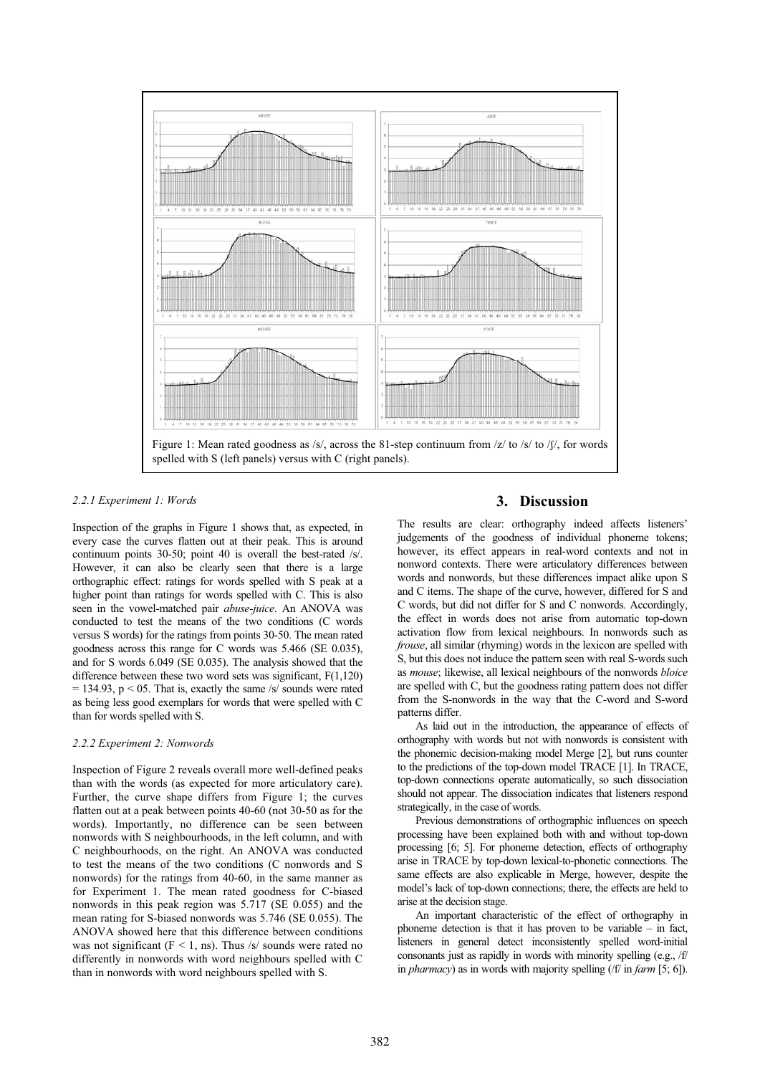

# *2.2.1 Experiment 1: Words*

Inspection of the graphs in Figure 1 shows that, as expected, in every case the curves flatten out at their peak. This is around continuum points 30-50; point 40 is overall the best-rated /s/. However, it can also be clearly seen that there is a large orthographic effect: ratings for words spelled with S peak at a higher point than ratings for words spelled with C. This is also seen in the vowel-matched pair *abuse-juice*. An ANOVA was conducted to test the means of the two conditions (C words versus S words) for the ratings from points 30-50. The mean rated goodness across this range for C words was 5.466 (SE 0.035), and for S words 6.049 (SE 0.035). The analysis showed that the difference between these two word sets was significant, F(1,120)  $= 134.93$ ,  $p < 05$ . That is, exactly the same /s/ sounds were rated as being less good exemplars for words that were spelled with C than for words spelled with S.

#### *2.2.2 Experiment 2: Nonwords*

Inspection of Figure 2 reveals overall more well-defined peaks than with the words (as expected for more articulatory care). Further, the curve shape differs from Figure 1; the curves flatten out at a peak between points 40-60 (not 30-50 as for the words). Importantly, no difference can be seen between nonwords with S neighbourhoods, in the left column, and with C neighbourhoods, on the right. An ANOVA was conducted to test the means of the two conditions (C nonwords and S nonwords) for the ratings from 40-60, in the same manner as for Experiment 1. The mean rated goodness for C-biased nonwords in this peak region was 5.717 (SE 0.055) and the mean rating for S-biased nonwords was 5.746 (SE 0.055). The ANOVA showed here that this difference between conditions was not significant ( $F < 1$ , ns). Thus /s/ sounds were rated no differently in nonwords with word neighbours spelled with C than in nonwords with word neighbours spelled with S.

# **3. Discussion**

The results are clear: orthography indeed affects listeners' judgements of the goodness of individual phoneme tokens; however, its effect appears in real-word contexts and not in nonword contexts. There were articulatory differences between words and nonwords, but these differences impact alike upon S and C items. The shape of the curve, however, differed for S and C words, but did not differ for S and C nonwords. Accordingly, the effect in words does not arise from automatic top-down activation flow from lexical neighbours. In nonwords such as *frouse*, all similar (rhyming) words in the lexicon are spelled with S, but this does not induce the pattern seen with real S-words such as *mouse*; likewise, all lexical neighbours of the nonwords *bloice* are spelled with C, but the goodness rating pattern does not differ from the S-nonwords in the way that the C-word and S-word patterns differ.

As laid out in the introduction, the appearance of effects of orthography with words but not with nonwords is consistent with the phonemic decision-making model Merge [2], but runs counter to the predictions of the top-down model TRACE [1]. In TRACE, top-down connections operate automatically, so such dissociation should not appear. The dissociation indicates that listeners respond strategically, in the case of words.

Previous demonstrations of orthographic influences on speech processing have been explained both with and without top-down processing [6; 5]. For phoneme detection, effects of orthography arise in TRACE by top-down lexical-to-phonetic connections. The same effects are also explicable in Merge, however, despite the model's lack of top-down connections; there, the effects are held to arise at the decision stage.

An important characteristic of the effect of orthography in phoneme detection is that it has proven to be variable – in fact, listeners in general detect inconsistently spelled word-initial consonants just as rapidly in words with minority spelling (e.g., /f/ in *pharmacy*) as in words with majority spelling (/f/ in *farm* [5; 6]).